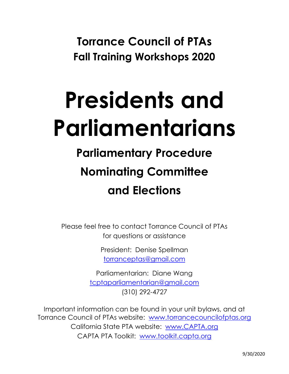**Torrance Council of PTAs Fall Training Workshops 2020**

# **Presidents and Parliamentarians**

# **Parliamentary Procedure Nominating Committee and Elections**

Please feel free to contact Torrance Council of PTAs for questions or assistance

> President: Denise Spellman torranceptas@gmail.com

Parliamentarian: Diane Wang tcptaparliamentarian@gmail.com (310) 292-4727

Important information can be found in your unit bylaws, and at Torrance Council of PTAs website: www.torrancecouncilofptas.org California State PTA website: www.CAPTA.org CAPTA PTA Toolkit: www.toolkit.capta.org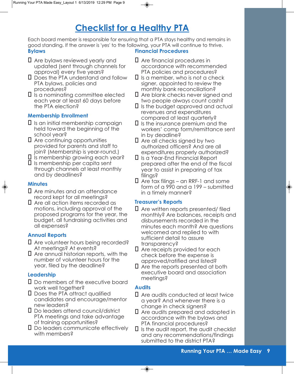# **Checklist for a Healthy PTA**

Each board member is responsible for ensuring that a PTA stays healthy and remains in good standing. If the answer is 'yes' to the following, your PTA will continue to thrive.<br>**Bylaws Financial Procedures Financial Procedures** 

- $\Box$  Are bylaws reviewed yearly and updated (sent through channels for approval) every five years?
- **Q** Does the PTA understand and follow PTA bylaws, policies and procedures?
- $\Box$  is a nominating committee elected each year at least 60 days before the PTA election?

## **Membership Enrollment**

- $\Box$  Is an initial membership campaign held toward the beginning of the school year?
- $\Box$  Are continuing opportunities provided for parents and staff to join? (Membership is year-round.)

 $\square$  Is membership growing each year?

 $\square$  Is membership per capita sent through channels at least monthly and by deadlines?

### **Minutes**

- $\Box$  Are minutes and an attendance record kept for all meetings?
- $\Box$  Are all action items recorded as motions, including approval of the proposed programs for the year, the budget, all fundraising activities and all expenses?

# **Annual Reports**

- Are volunteer hours being recorded? At meetings? At events?
- $\Box$  Are annual historian reports, with the number of volunteer hours for the year, filed by the deadline?

# **Leadership**

- $\square$  Do members of the executive board work well together?
- **Q** Does the PTA attract qualified candidates and encourage/mentor new leaders?
- Do leaders attend council/district PTA meetings and take advantage of training opportunities?
- $\Box$  Do leaders communicate effectively with members?

- $\Box$  Are financial procedures in accordance with recommended PTA policies and procedures?
- $\Box$  is a member, who is not a check signer, appointed to review the monthly bank reconciliation?
- $\Box$  Are blank checks never signed and two people always count cash?
- $\Box$  is the budget approved and actual revenues and expenditures compared at least quarterly?
- $\Box$  is the insurance premium and the workers' comp form/remittance sent in by deadline?
- $\Box$  Are all checks signed by two authorized officers? And are all expenditures properly authorized?
- � Is a Year-End Financial Report prepared after the end of the fiscal year to assist in preparing of tax filings?
- $\Box$  Are tax filings an RRF-1 and some form of a 990 and a 199 – submitted in a timely manner?

### **Treasurer's Reports**

- $\square$  Are written reports presented/ filed monthly? Are balances, receipts and disbursements recorded in the minutes each month? Are questions welcomed and replied to with sufficient detail to assure transparency?
- $\Box$  Are receipts provided for each check before the expense is approved/ratified and listed?
- $\Box$  Are the reports presented at both executive board and association meetings?

### **Audits**

- $\Box$  Are audits conducted at least twice a year? And whenever there is a change in check signers?
- $\Box$  Are audits prepared and adopted in accordance with the bylaws and PTA financial procedures?
- $\Box$  is the audit report, the audit checklist and any recommendations/findings submitted to the district PTA?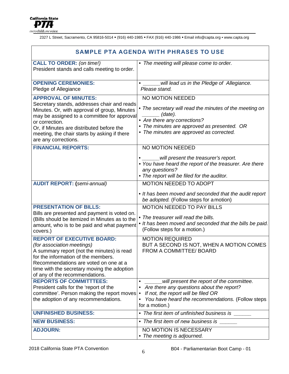2327 L Street, Sacramento, CA 95816-5014 (916) 440-1985 FAX (916) 440-1986 Email info@capta.org • www.capta.org

| <b>SAMPLE PTA AGENDA WITH PHRASES TO USE</b>                                                                                                                                                                                                                                                                     |                                                                                                                                                                                                                                                                                                    |  |  |  |  |  |
|------------------------------------------------------------------------------------------------------------------------------------------------------------------------------------------------------------------------------------------------------------------------------------------------------------------|----------------------------------------------------------------------------------------------------------------------------------------------------------------------------------------------------------------------------------------------------------------------------------------------------|--|--|--|--|--|
| <b>CALL TO ORDER: (on time!)</b><br>President stands and calls meeting to order.                                                                                                                                                                                                                                 | • The meeting will please come to order.                                                                                                                                                                                                                                                           |  |  |  |  |  |
| <b>OPENING CEREMONIES:</b><br>Pledge of Allegiance                                                                                                                                                                                                                                                               | will lead us in the Pledge of Allegiance.<br>Please stand.                                                                                                                                                                                                                                         |  |  |  |  |  |
| <b>APPROVAL OF MINUTES:</b><br>Secretary stands, addresses chair and reads<br>Minutes. Or, with approval of group, Minutes<br>may be assigned to a committee for approval<br>or correction.<br>Or, if Minutes are distributed before the<br>meeting, the chair starts by asking if there<br>are any corrections. | NO MOTION NEEDED<br>• The secretary will read the minutes of the meeting on<br>(date).<br>• Are there any corrections?<br>• The minutes are approved as presented. OR<br>• The minutes are approved as corrected.                                                                                  |  |  |  |  |  |
| <b>FINANCIAL REPORTS:</b>                                                                                                                                                                                                                                                                                        | NO MOTION NEEDED<br>will present the treasurer's report.<br>• You have heard the report of the treasurer. Are there<br>any questions?<br>• The report will be filed for the auditor.                                                                                                               |  |  |  |  |  |
| <b>AUDIT REPORT: (semi-annual)</b><br><b>PRESENTATION OF BILLS:</b><br>Bills are presented and payment is voted on.<br>(Bills should be itemized in Minutes as to the<br>amount, who is to be paid and what payment<br>covers.)                                                                                  | <b>MOTION NEEDED TO ADOPT</b><br>• It has been moved and seconded that the audit report<br>be adopted. (Follow steps for a motion)<br>MOTION NEEDED TO PAY BILLS<br>The treasurer will read the bills.<br>• It has been moved and seconded that the bills be paid.<br>(Follow steps for a motion.) |  |  |  |  |  |
| <b>REPORT OF EXECUTIVE BOARD:</b><br>(for association meetings)<br>A summary report (not the minutes) is read<br>for the information of the members.<br>Recommendations are voted on one at a<br>time with the secretary moving the adoption<br>of any of the recommendations.                                   | <b>MOTION REQUIRED</b><br>BUT A SECOND IS NOT, WHEN A MOTION COMES<br>FROM A COMMITTEE/ BOARD                                                                                                                                                                                                      |  |  |  |  |  |
| <b>REPORTS OF COMMITTTEES:</b><br>President calls for the 'report of the<br>committee'. Person making the report moves<br>the adoption of any recommendations.                                                                                                                                                   | will present the report of the committee.<br>Are there any questions about the report?<br>If not, the report will be filed OR<br>You have heard the recommendations. (Follow steps<br>for a motion.)                                                                                               |  |  |  |  |  |
| <b>UNFINISHED BUSINESS:</b>                                                                                                                                                                                                                                                                                      | • The first item of unfinished business is                                                                                                                                                                                                                                                         |  |  |  |  |  |
| <b>NEW BUSINESS:</b>                                                                                                                                                                                                                                                                                             | • The first item of new business is                                                                                                                                                                                                                                                                |  |  |  |  |  |
| <b>ADJOURN:</b>                                                                                                                                                                                                                                                                                                  | NO MOTION IS NECESSARY<br>The meeting is adjourned.                                                                                                                                                                                                                                                |  |  |  |  |  |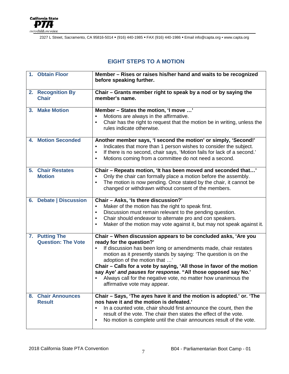

2327 L Street, Sacramento, CA 95816-5014 (916) 440-1985 FAX (916) 440-1986 Email info@capta.org • www.capta.org

# **EIGHT STEPS TO A MOTION**

| 1. Obtain Floor                             | Member - Rises or raises his/her hand and waits to be recognized<br>before speaking further.                                                                                                                                                                                                                                                                                                                                                                                                                  |
|---------------------------------------------|---------------------------------------------------------------------------------------------------------------------------------------------------------------------------------------------------------------------------------------------------------------------------------------------------------------------------------------------------------------------------------------------------------------------------------------------------------------------------------------------------------------|
| 2. Recognition By<br><b>Chair</b>           | Chair – Grants member right to speak by a nod or by saying the<br>member's name.                                                                                                                                                                                                                                                                                                                                                                                                                              |
| 3. Make Motion                              | Member - States the motion, 'I move '<br>Motions are always in the affirmative.<br>Chair has the right to request that the motion be in writing, unless the<br>$\bullet$<br>rules indicate otherwise.                                                                                                                                                                                                                                                                                                         |
| <b>4. Motion Seconded</b>                   | Another member says, 'I second the motion' or simply, 'Second!'<br>Indicates that more than 1 person wishes to consider the subject.<br>If there is no second, chair says, 'Motion fails for lack of a second.'<br>$\bullet$<br>Motions coming from a committee do not need a second.<br>$\bullet$                                                                                                                                                                                                            |
| 5. Chair Restates<br><b>Motion</b>          | Chair – Repeats motion, 'It has been moved and seconded that'<br>Only the chair can formally place a motion before the assembly.<br>The motion is now pending. Once stated by the chair, it cannot be<br>changed or withdrawn without consent of the members.                                                                                                                                                                                                                                                 |
| 6. Debate   Discussion                      | Chair - Asks, 'Is there discussion?'<br>Maker of the motion has the right to speak first.<br>Discussion must remain relevant to the pending question.<br>$\bullet$<br>Chair should endeavor to alternate pro and con speakers.<br>$\bullet$<br>Maker of the motion may vote against it, but may not speak against it.<br>$\bullet$                                                                                                                                                                            |
| 7. Putting The<br><b>Question: The Vote</b> | Chair - When discussion appears to be concluded asks, 'Are you<br>ready for the question?'<br>If discussion has been long or amendments made, chair restates<br>motion as it presently stands by saying: 'The question is on the<br>adoption of the motion that '<br>Chair - Calls for a vote by saying, 'All those in favor of the motion<br>say Aye' and pauses for response. "All those opposed say No.'<br>Always call for the negative vote, no matter how unanimous the<br>affirmative vote may appear. |
| 8. Chair Announces<br><b>Result</b>         | Chair - Says, 'The ayes have it and the motion is adopted.' or. 'The<br>nos have it and the motion is defeated.'<br>In a counted vote, chair should first announce the count, then the<br>$\bullet$<br>result of the vote. The chair then states the effect of the vote.<br>No motion is complete until the chair announces result of the vote.<br>$\bullet$                                                                                                                                                  |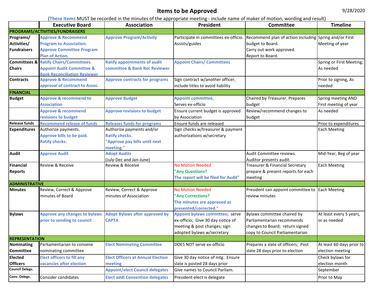# **Items to be Approved**

|                                                | <b>Executive Board</b>                                                                                                           | <b>THESE INSTITUTES:</b> NO TODARIO ITI GIO TIMINICS OF GIO UPPLOPHULO INCOGIN <sub>A</sub> THORUC HUMO OF HIURCI OF HIURCIOH, WOLUMN <sub>A</sub> UHU I CSUIC,<br>Association<br>President |                                                                                                                                                                                                                                                                       | Committee                                                                                                                  | <b>Timeline</b>                                          |
|------------------------------------------------|----------------------------------------------------------------------------------------------------------------------------------|---------------------------------------------------------------------------------------------------------------------------------------------------------------------------------------------|-----------------------------------------------------------------------------------------------------------------------------------------------------------------------------------------------------------------------------------------------------------------------|----------------------------------------------------------------------------------------------------------------------------|----------------------------------------------------------|
|                                                | PROGRAMS/ACTIVITIES/FUNDRAISERS                                                                                                  |                                                                                                                                                                                             |                                                                                                                                                                                                                                                                       |                                                                                                                            |                                                          |
| Programs/<br>Activities/<br><b>Fundraisers</b> | <b>Approve &amp; Recommend</b><br><b>Program to Association.</b><br><b>Approve Committee Program</b><br><b>Plan of Action.</b>   | <b>Approve Program/Activity</b>                                                                                                                                                             | Participate in committees ex-officio.<br>Assists/guides                                                                                                                                                                                                               | Recommend plan of action including Spring and/or First<br>budget to Board.<br>Carry out work approved.<br>Report to Board. | Meeting of year                                          |
| <b>Chairs</b>                                  | <b>Committees &amp; Ratify Chairs/Committees.</b><br><b>Appoint Audit Committee &amp;</b><br><b>Bank Reconciliation Reviewer</b> | <b>Ratify appointments of audit</b><br>committee & Bank Rec Reviewer                                                                                                                        | <b>Appoint Chairs/ Committees</b>                                                                                                                                                                                                                                     |                                                                                                                            | Spring or First Meeting;<br>As needed                    |
| <b>Contracts</b>                               | <b>Approve &amp; Recommend</b><br>approval of contract to Assoc.                                                                 | <b>Approve contracts for programs</b>                                                                                                                                                       | Sign contract w/another officer,<br>include titles to avoid liability                                                                                                                                                                                                 |                                                                                                                            | Prior to signing, As<br>needed                           |
| <b>FINANCIAL</b>                               |                                                                                                                                  |                                                                                                                                                                                             |                                                                                                                                                                                                                                                                       |                                                                                                                            |                                                          |
| <b>Budget</b>                                  | <b>Approve &amp; recommend to</b><br><b>Association</b><br><b>Approve &amp; recommend</b>                                        | <b>Approve Budget</b><br><b>Approve revisions to budget</b>                                                                                                                                 | <b>Appoint committee,</b><br>Serves ex-officio<br>Ensure current budget is approved                                                                                                                                                                                   | Chaired by Treasurer, Prepares<br>budget<br>Review/recommend changes to                                                    | Spring meeting AND<br>First meeting of year<br>As needed |
| <b>Release funds</b>                           | revisions to budget                                                                                                              |                                                                                                                                                                                             | by Association                                                                                                                                                                                                                                                        | budget                                                                                                                     |                                                          |
| <b>Expenditures</b>                            | <b>Recommend release of funds</b><br>Authorize payments.<br><b>Approve bills to be paid.</b><br><b>Ratify checks.</b>            | <b>Releases funds for programs</b><br>Authorize payments and/or<br><b>Ratify checks.</b><br>'Approve pay bills until next<br>meeting."                                                      | Ensure funds are released<br>Sign checks w/treasurer & payment<br>authorizations w/secretary                                                                                                                                                                          |                                                                                                                            | Prior to expenditures<br>Each Meeting                    |
| <b>Audit</b>                                   | <b>Approve Audit</b>                                                                                                             | <b>Adopt Audits</b><br>(July-Dec and Jan-June)                                                                                                                                              |                                                                                                                                                                                                                                                                       | Audit Committee reviews.<br>Auditor presents audit.                                                                        |                                                          |
| <b>Financial</b><br><b>Reports</b>             | Review & Receive                                                                                                                 | Review & Receive                                                                                                                                                                            | <b>No Motion Needed</b><br>"Any Questions?<br>The report will be filed for Audit"                                                                                                                                                                                     | Treasurer & Financial Secretary<br>prepare & present reports for each<br>meeting                                           | Each Meeting                                             |
| <b>ADMINISTRATIVE</b>                          |                                                                                                                                  |                                                                                                                                                                                             |                                                                                                                                                                                                                                                                       |                                                                                                                            |                                                          |
| <b>Minutes</b>                                 | Review, Correct & Approve<br>minutes of Board                                                                                    | Review, Correct & Approve<br>minutes of Association                                                                                                                                         | <b>No Motion Needed</b><br>"Any Corrections?<br>The minutes are approved as<br>presented/corrected."                                                                                                                                                                  | President can appoint committee to Each Meeting<br>review minutes                                                          |                                                          |
| <b>Bylaws</b>                                  | <b>Approve any changes to bylaws</b><br>prior to sending to council                                                              | <b>Adopt Bylaws after approved by</b><br><b>CAPTA</b>                                                                                                                                       | Appoint bylaws committee; serve<br>Bylaws committee chaired by<br>ex-officio; Give 30 day notice of<br>Parliamentarian recommends<br>meeting & post changes; sign<br>changes to Board; return signed<br>adopted bylaws w/secretary<br>copy to Council Parliamentarian |                                                                                                                            | At least every 5 years,<br>or as needed                  |
| <b>REPRESENTATION</b>                          |                                                                                                                                  |                                                                                                                                                                                             |                                                                                                                                                                                                                                                                       |                                                                                                                            |                                                          |
| <b>Nominating</b><br><b>Committee</b>          | Parliamentarian to convene<br>nominating committee                                                                               | <b>Elect Nominating Committee</b>                                                                                                                                                           | DOES NOT serve ex-officio                                                                                                                                                                                                                                             | Prepares a slate of officers; Post<br>slate 28 days prior to election                                                      | At least 60 days prior to<br>election meeting            |
| <b>Elected</b><br><b>Officers</b>              | <b>Elect officers to fill any</b><br>vacancies after election                                                                    | <b>Elect Officers at Annual Election</b><br>meeting                                                                                                                                         | Give 30 day notice of mtg. Ensure<br>slate is posted 28 days prior                                                                                                                                                                                                    |                                                                                                                            | Check bylaws for<br>election month                       |
| <b>Council Delegs.</b>                         |                                                                                                                                  | <b>Appoint/elect Council delegates</b>                                                                                                                                                      | Give names to Council Parliam.                                                                                                                                                                                                                                        |                                                                                                                            | September                                                |
| Conv. Delegs.                                  | Consider candidates                                                                                                              | <b>Elect addl.Convention delegates</b>                                                                                                                                                      | President-elect is delegate                                                                                                                                                                                                                                           |                                                                                                                            | Prior to May                                             |